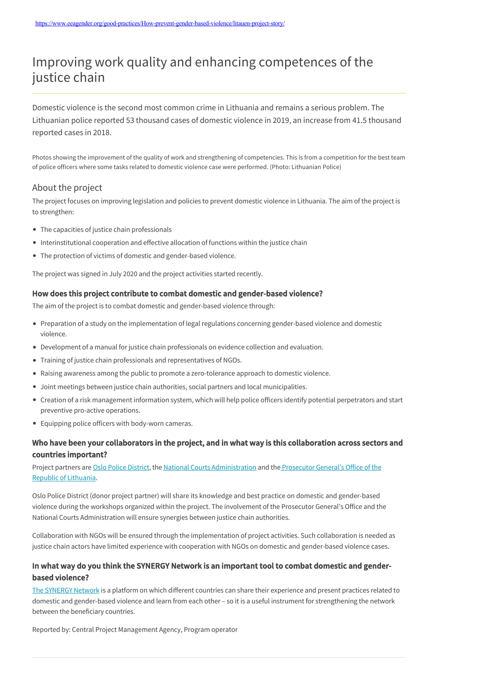# Improving work quality and enhancing competences of the justice chain

Domestic violence is the second most common crime in Lithuania and remains a serious problem. The Lithuanian police reported 53 thousand cases of domestic violence in 2019, an increase from 41.5 thousand reported cases in 2018.

Photos showing the improvement of the quality of work and strengthening of competencies. This is from a competition for the best team of police officers where some tasks related to domestic violence case were performed. (Photo: Lithuanian Police)

# About the project

The project focuses on improving legislation and policies to prevent domestic violence in Lithuania. The aim of the project is to strengthen:

- The capacities of justice chain professionals
- Interinstitutional cooperation and effective allocation of functions within the justice chain
- The protection of victims of domestic and gender-based violence.

The project was signed in July 2020 and the project activities started recently.

### How does this project contribute to combat domestic and gender-based violence?

The aim of the project is to combat domestic and gender-based violence through:

- Preparation of a study on the implementation of legal regulations concerning gender-based violence and domestic violence.
- Development of a manual for justice chain professionals on evidence collection and evaluation.
- Training of justice chain professionals and representatives of NGOs.
- Raising awareness among the public to promote a zero-tolerance approach to domestic violence.
- Joint meetings between justice chain authorities, social partners and local municipalities.
- Creation of a risk management information system, which will help police officers identify potential perpetrators and start preventive pro-active operations.
- Equipping police officers with body-worn cameras.

# Who have been your collaborators in the project, and in what way is this collaboration across sectors and countries important?

[Project partners are O](https://www.teismai.lt/en)[slo Police Distric](https://www.politiet.no/en/om/organisasjonen/police-districts/oslo-politidistrikt/)[t, the National Courts Administration and the Prosecutor General's Office of the](https://www.teismai.lt/en) Republic of Lithuania.

Oslo Police District (donor project partner) will share its knowledge and best practice on domestic and gender-based violence during the workshops organized within the project. The involvement of the Prosecutor General's Office and the National Courts Administration will ensure synergies between justice chain authorities.

Collaboration with NGOs will be ensured through the implementation of project activities. Such collaboration is needed as justice chain actors have limited experience with cooperation with NGOs on domestic and gender-based violence cases.

# In what way do you think the SYNERGY Network is an important tool to combat domestic and genderbased violence?

[The SYNERGY Network](https://www.eeagender.org/the-synergy-network/what-is-the-SYNERGY-network/) is a platform on which different countries can share their experience and present practices related to domestic and gender-based violence and learn from each other – so it is a useful instrument for strengthening the network between the beneficiary countries.

Reported by: Central Project Management Agency, Program operator